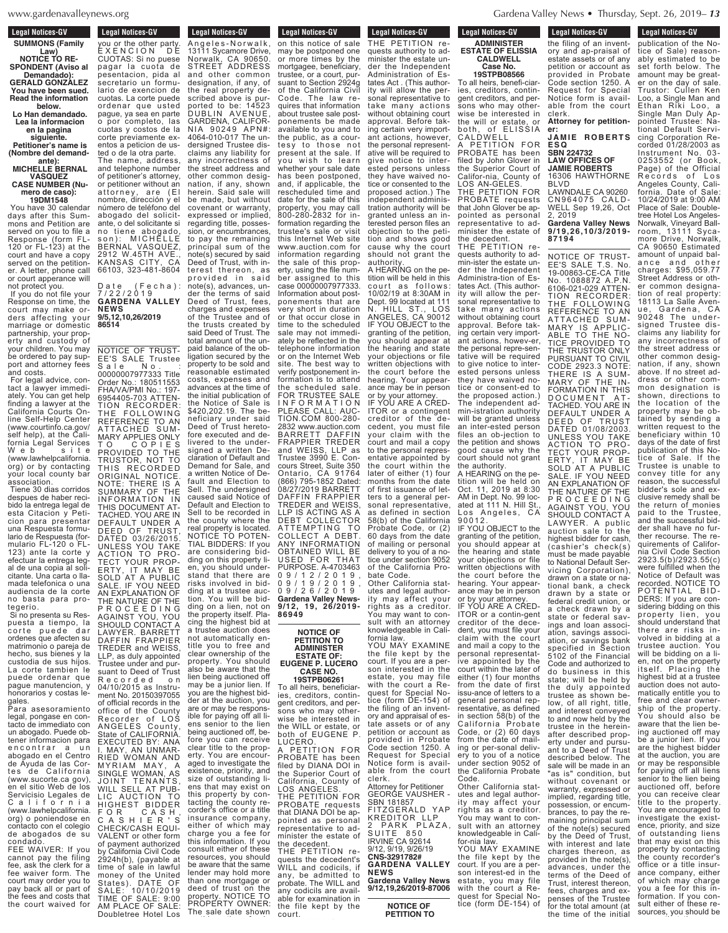### **Legal Notices-GV SUMMONS (Family Law) NOTICE TO RE-**

**SPONDENT (Aviso al Demandado): GERALD GONZALEZ You have been sued. Read the information**

**below. Lo Han demandado.**

## **Lea la informacion en la pagina**

**siguiente. Petitioner's name is (Nombre del demand-**

# **ante): MICHELLE BERNAL**

**VASQUEZ CASE NUMBER (Numero de caso):**

# **19DM1548**

You have 30 calendar days after this Summons and Petition are served on you to file a Response (form FL-120 or FL-123) at the court and have a copy served on the petitioner. A letter, phone call or court apperance will not protect you.

If you do not file your Response on time, the court may make orders affecting your marriage or domestic partnership, your property and custody of your children. You may be ordered to pay support and attorney fees and costs.

For legal advice, contact a lawyer immediately. You can get help finding a lawyer at the California Courts Online Self-Help Center (www.courtinfo.ca.gov/ self help), at the California Légal Services<br>Website s i t e (www.lawhelpcalifornia. org) or by contacting your local county bar association.

Tiene 30 dias corridos despues de haber recibido la entrega legal de esta Citacion y Peticion para presentar una Respuesta formulario de Respuesta (formulario FL-120 o FL-123) ante la corte y efectuar la entrega legal de una copia al solicitante. Una carta o llamada telefonica o una audiencia de la corte no basta para protegerio.

Si no presenta su Respuesta a tiempo, la corte puede dar ordenes que afecten su matrimonio o pareja de hecho, sus bienes y la custodia de sus hijos. La corte tambien le puede ordenar que pague manutencion, y honorarios y costas le-

gales. Para asesoramiento legal, pongase en contacto de immediato con un abogado. Puede obtener informacion para encontrar a un abogado en el Centro de Ayuda de las Cortes de California (www.sucorte.ca gov), en el sitio Web de los Servicisio Legales de<br>C a l i f o r n i a <sup>C</sup> <sup>a</sup> <sup>l</sup> <sup>i</sup> <sup>f</sup> <sup>o</sup> <sup>r</sup> <sup>n</sup> <sup>i</sup> <sup>a</sup> (www.lawhelpcalifornia. org) o poniendose en contacto con el colegio de abogados de su condado. FEE WAIVER: If you cannot pay the filing fee, ask the clerk for a

fee waiver form. The court may order you to pay back all or part of the fees and costs that the court waived for you or the other party.

**Legal Notices-GV** Legal Nutries-GV you or the other party. E X E N C I O N D E CUOTAS: Si no puese pagar la cuota de pesentacion, pida al secretario un formulario de exencion de cuotas. La corte puede ordenar que usted pague, ya sea en parte o por completo, las cuotas y costos de la corte previamente exentos a peticion de usted o de la otra parte. The name, address, and telephone number of petitioner's attorney, or petitioner without an attorney, are (El nombre, dirección y el número de teléfono del abogado del solicitante, o del solicitante si no tiene abogado, son): MICHÉLLE BERNAL VASQUEZ, 2912 W.45TH AVE KANSAS CITY, CA 66103, 323-481-8604

Date (Fecha): 7 / 2 2 / 2 0 1 9 **GARDENA VALLEY NEWS 9/5,12,10,26/2019 86514**

property. You should also be aware that the lien being auctioned off may be a junior lien. If you are the highest bidder at the auction, you are or may be responsible for paying off all liens senior to the lien being auctioned off, before you can receive clear title to the property. You are encouraged to investigate the existence, priority, and size of outstanding liens that may exist on this property by contacting the county recorder's office or a title insurance company, either of which may charge you a fee for this information. If you consult either of these resources, you should be aware that the same lender may hold more than one mortgage or deed of trust on the property. NOTICE TO PROPERTY OWNER: The sale date shown NOTICE OF TRUST-EE'S SALE Trustee Sale No. : 00000007977333 Title Order No.: 180511553 FHA/VA/PMI No.: 197- 6954405-703 ATTEN-TION RECORDER: THE FOLLOWING REFERENCE TO AN ATTACHED SUM-MARY APPLIES ONLY T O C O P I E S PROVIDED TO THE TRUSTOR, NOT TO THIS RECORDED ORIGINAL NOTICE. NOTE: THERE IS A SUMMARY OF THE INFORMATION IN THIS DOCUMENT AT-TACHED. YOU ARE IN DEFAULT UNDER A DEED OF TRUST, DATED 03/26/2015. UNLESS YOU TAKE ACTION TO PRO-TECT YOUR PROP-ERTY, IT MAY BE SOLD AT A PUBLIC SALE. IF YOU NEED AN EXPLANATION OF THE NATURE OF THE P R O C E E D I N G AGAINST YOU, YOU SHOULD CONTACT A LAWYER. BARRETT DAFFIN FRAPPIER TREDER and WEISS, LLP, as duly appointed Trustee under and pursuant to Deed of Trust<br>Recorded on R e c o r d e d o n 04/10/2015 as Instrument No. 20150397055 of official records in the office of the County Recorder of LOS ANGELES County, State of CALIFORNIA. EXECUTED BY: ANA I. MAY, AN UNMAR-RIED WOMAN AND MYRIAM MAY, A SINGLE WOMAN, AS JOINT TENANTS, WILL SELL AT PUB-LIC AUCTION TO HIGHEST BIDDER F O R C A S H , C A S H I E R ' S CHECK/CASH EQUI-VALENT or other form of payment authorized California Civil Code 2924h(b), (payable at time of sale in lawful money of the United States). DATE OF SALE: 10/10/2019 TIME OF SALE: 9:00 AM PLACE OF SALE: Doubletree Hotel Los

**Legal Notices-GV** Legal Nutles-GV Angeles-Norwalk, 13111 Sycamore Drive, Norwalk, CA 90650. STREET ADDRESS and other common designation, if any, of the real property described above is purported to be: 14523 DUBLIN AVENUE, GARDENA, CALIFOR-NIA 90249 APN#: 4064-010-017 The undersigned Trustee disclaims any liability for any incorrectness of the street address and other common designation, if any, shown herein. Said sale will be made, but without covenant or warranty, expressed or implied, regarding title, possession, or encumbrances, to pay the remaining principal sum of the note(s) secured by said Deed of Trust, with interest thereon, as provided in said note(s), advances, under the terms of said Deed of Trust, fees,

800-280-2832 for information regarding the trustee's sale or visit this Internet Web site www.auction.com for information regarding the sale of this property, using the file number assigned to this case 00000007977333. Information about postponements that are very short in duration or that occur close in time to the scheduled sale may not immediately be reflected in the telephone information or on the Internet Web site. The best way to verify postponement information is to attend the scheduled sale. FOR TRUSTEE SALE I N F O R M A T I O N PLEASE CALL: AUC-TION.COM 800-280- 2832 www.auction.com BARRETT DAFFIN FRAPPIER TREDER and WEISS, LLP as Trustee 3990 E. Concours Street, Suite 350 Ontario, CA 91764 (866) 795-1852 Dated: 08/27/2019 BARRETT DAFFIN FRAPPIER TREDER and WEISS, LLP IS ACTING AS A DEBT COLLECTOR ATTEMPTING TO COLLECT A DEBT. ANY INFORMATION OBTAINED WILL BE USED FOR THAT PURPOSE. A-4703463 0 9 / 1 2 / 2 0 1 9 , 0 9 / 1 9 / 2 0 1 9 , 0 9 / 2 6 / 2 0 1 9 **Gardena Valley News-9/12, 19, 26/2019- 86949 NOTICE OF PETITION TO** charges and expenses of the Trustee and of the trusts created by said Deed of Trust. The total amount of the unpaid balance of the obligation secured by the property to be sold and reasonable estimated costs, expenses and advances at the time of the initial publication of the Notice of Sale is \$420,202.19. The beneficiary under said Deed of Trust heretofore executed and delivered to the undersigned a written Declaration of Default and Demand for Sale, and a written Notice of Default and Election to Sell. The undersigned caused said Notice of Default and Election to Sell to be recorded in the county where the real property is located. NOTICE TO POTEN-TIAL BIDDERS: If you are considering bidding on this property lien, you should understand that there are risks involved in bidding at a trustee auction. You will be bidding on a lien, not on the property itself. Placing the highest bid at a trustee auction does not automatically entitle you to free and clear ownership of the

**Legal Notices-GV** Legal Nutries-dv on this notice of sale may be postponed one or more times by the mortgagee, beneficiary, trustee, or a court, pursuant to Section 2924g of the California Civil Code. The law requires that information about trustee sale postponements be made available to you and to the public, as a courtesy to those not present at the sale. If .<br>you wish to learn whether your sale date has been postponed, and, if applicable, the rescheduled time and date for the sale of this property, you may call

## **ADMINISTER ESTATE OF: EUGENE P. LUCERO CASE NO.**

**19STPB06261**

To all heirs, beneficiaries, creditors, contingent creditors, and persons who may otherwise be interested in the WILL or estate, or both of EUGENE P. LUCERO.

A PETITION FOR PROBATE has been filed by DIANA DOI in the Superior Court of California, County of LOS ANGELES. THE PETITION FOR PROBATE requests that DIANA DOI be appointed as personal representative to administer the estate of the decedent. THE PETITION re-

quests the decedent's WILL and codicils, if any, be admitted to probate. The WILL and any codicils are available for examination in the file kept by the court.

wise be interested in the will or estate, or both, of ELISSIA CALDWELL A PETITION FOR PROBATE has been filed by John Glover in the Superior Court of Califor-nia, County of LOS AN-GELES. **Legal Notices-GV** <u>Leyar</u> THE PETITION requests authority to administer the estate under the Independent Administration of Estates Act . (This authority will allow the personal representative to take many actions without obtaining court approval. Before taking certain very important actions, however, the personal representative will be required to give notice to interested persons unless they have waived notice or consented to the proposed action.) The independent administration authority will be granted unless an interested person files an objection to the peti-

 $L$ egal Notices-GV **ADMINISTER**

the decedent.

the authority.

or by your attorney.

for-nia law.

**CALDWELL Case No. 19STPB08566**

approval. Before takcause why the court should not grant the authority. A HEARING on the petition will be held in this court as follows: 10/02/19 at 8:30AM in Dept. 99 located at 111<br>N. HILL ST., LOS N. HILL ST., LOS ANGELES, CA 90012 IF YOU OBJECT to the granting of the petition, you should appear at the hearing and state your objections or file written objections with the court before the hearing. Your appearance may be in person or by your attorney.

tion and shows good

9 0 0 1 2<br>**IF YOU** IF YOU ARE A CRED-ITOR or a contingent creditor of the decedent, you must file your claim with the court and mail a copy to the personal representative appointed by the court within the later of either (1) four months from the date of first issuance of let-<br>ters to a general perters to a general sonal representative. as defined in section 58(b) of the California Probate Code, or 60 days from the date of mailing or personal delivery to you of a notice under section 9052 of the California Probate Code.

Other California statutes and legal authority may affect your rights as a creditor. You may want to consult with an attorney knowledgeable in Cali-

claim with the court and mail a copy to the personal representative appointed by the court within the later of either (1) four months from the date of first issu-ance of letters to a general personal representative, as defined in section 58(b) of the Cal ifornia Probate Code, or (2) 60 days from the date of mailing or per-sonal delivery to you of a notice under section 9052 of the California Probate Code. Other California statfornia law. YOU MAY EXAMINE the file kept by the court. If you are a person interested in the estate, you may file with the court a Re-quest for Special Notice (form DE-154) of the filing of an inventory and appraisal of estate assets or of any petition or account as provided in Probate Code section 1250. A Request for Special Notice form is available from the court clerk.

Attorney for Petitioner GEORGE VAUSHER - SBN 181857<br>FITZGERALD YAP FITZGERALD YAP KREDITOR LLP 2 PARK PLAZA, SUITE 850 IRVINE CA 92614 9/12, 9/19, 9/26/19 **CNS-3291782# GARDENA VALLEY NEWS Gardena Valley News**

**9/12,19,26/2019-87006 NOTICE OF PETITION TO**

**Example 1** Legal Notices-GV

**Legal Nutries-GV** publication of the Notice of Sale) reason-

**Legal Notices-GV** Legal Nutles-GV the filing of an inventory and ap-praisal of estate assets or of any petition or account as provided in Probate Code section 1250. A Request for Special Notice form is available from the court clerk. **ESTATE OF ELISSIA** To all heirs, benefi-ciaries, creditors, contingent creditors, and persons who may other-

> **Attorney for petitioner: J A M IE R O B E R TS**

> **ES Q SBN 224732 LAW OFFICES OF JAMIE ROBERTS** 16306 HAWTHORNE

BLVD LAWNDALE CA 90260 C N 9 6 4 0 7 5 C AL D - WELL Sep 19,26, Oct 2, 2019 **Gardena Valley News 9/19,26,10/3/2019- 87194** THE PETITION FOR PROBATE requests that John Glover be appointed as personal representative to administer the estate of

NOTICE OF TRUST-EE'S SALE T.S. No. 19-00863-CE-CA Title<br>No. 1088872 A.P.N. No. 1088872 A.P.N. 6106-021-029 ATTEN-TION RECORDER: THE FOLLOWING REFERENCE TO AN ATTACHED SUM-MARY IS APPLIC-ABLE TO THE NO-TICE PROVIDED TO THE TRUSTOR ONLY PURSUANT TO CIVIL CODE 2923.3 NOTE: THERE IS A SUM-MARY OF THE IN-FORMATION IN THIS DOCUMENT AT-TACHED. YOU ARE IN DEFAULT UNDER A DEED OF TRUST DATED 01/08/2003. UNLESS YOU TAKE ACTION TO PRO-TECT YOUR PROP-ERTY, IT MAY BE SOLD AT A PUBLIC SALE. IF YOU NEED AN EXPLANATION OF THE NATURE OF THE P R O C E E D I N G AGAINST YOU, YOU SHOULD CONTACT A LAWYER. A public auction sale to the highest bidder for cash, (cashier's check(s) must be made payable to National Default Servicing Corporation), drawn on a state or national bank, a check drawn by a state or federal credit union, or a check drawn by a state or federal savings and loan association, savings association, or savings bank specified in Section 5102 of the Financial Code and authorized to do business in this state; will be held by the duly appointed trustee as shown below, of all right, title, and interest conveyed to and now held by the trustee in the hereinafter described property under and pursuant to a Deed of Trust described below. The sale will be made in an "as is" condition, but without covenant or warranty, expressed or implied, regarding title, possession, or encumbrances, to pay the remaining principal sum of the note(s) secured by the Deed of Trust, with interest and late charges thereon, as provided in the note(s), advances, under the terms of the Deed of Trust, interest thereon, fees, charges and expenses of the Trustee for the total amount (at the time of the initial THE PETITION requests authority to admin-ister the estate under the Independent Administra-tion of Estates Act. (This authority will allow the personal representative to take many actions without obtaining court ing certain very important actions, howev-er, the personal repre-sentative will be required to give notice to interested persons unless they have waived notice or consent-ed to the proposed action.) The independent admin-istration authority will be granted unless an inter-ested person files an ob-jection to the petition and shows good cause why the court should not grant A HEARING on the petition will be held on Oct. 11, 2019 at 8:30 AM in Dept. No. 99 located at 111 N. Hill St., Los Angeles, CA YOU OBJECT to the granting of the petition, you should appear at the hearing and state your objections or file written objections with the court before the hearing. Your appearance may be in person IF YOU ARE A CRED-ITOR or a contin-gent creditor of the decedent, you must file your utes and legal authority may affect your rights as a creditor. You may want to consult with an attorney knowledgeable in Cali-YOU MAY EXAMINE the file kept by the court. If you are a person interest-ed in the estate, you may file with the court a Request for Special Notice (form DE-154) of

ably estimated to be set forth below. The amount may be greater on the day of sale. Trustor: Cullen Ken Loo, a Single Man and Ethan Riki Loo, a Single Man Duly Appointed Trustee: National Default Servicing Corporation Recorded 01/28/2003 as Instrument No. 03- 0253552 (or Book, Page) of the Official Records of Los Angeles County, California. Date of Sale: 10/24/2019 at 9:00 AM Place of Sale: Doubletree Hotel Los Angeles-Norwalk, Vineyard Ballroom, 13111 Sycamore Drive, Norwalk, CA 90650 Estimated amount of unpaid balance and other charges: \$95,059.77 Street Address or other common designation of real property: 18113 La Salle Avenue, Gardena, CA 90248 The undersigned Trustee disclaims any liability for any incorrectness of the street address or other common designation, if any, shown above. If no street address or other common designation is shown, directions to the location of the property may be obtained by sending a written request to the beneficiary within 10 days of the date of first publication of this Notice of Sale. If the Trustee is unable to convey title for any reason, the successful bidder's sole and exclusive remedy shall be the return of monies paid to the Trustee, and the successful bidder shall have no further recourse. The requirements of California Civil Code Section 2923.5(b)/2923.55(c) were fulfilled when the Notice of Default was recorded. NOTICE TO OTENTIAL BID-DERS: If you are considering bidding on this property lien, you should understand that there are risks involved in bidding at a trustee auction. You will be bidding on a lien, not on the property itself. Placing the highest bid at a trustee auction does not automatically entitle you to free and clear ownership of the property. You should also be aware that the lien being auctioned off may be a junior lien. If you are the highest bidder at the auction, you are or may be responsible for paying off all liens senior to the lien being auctioned off, before you can receive clear title to the property. You are encouraged to investigate the existence, priority, and size of outstanding liens that may exist on this property by contacting the county recorder's office or a title insurance company, either of which may charge you a fee for this information. If you consult either of these resources, you should be aware that the same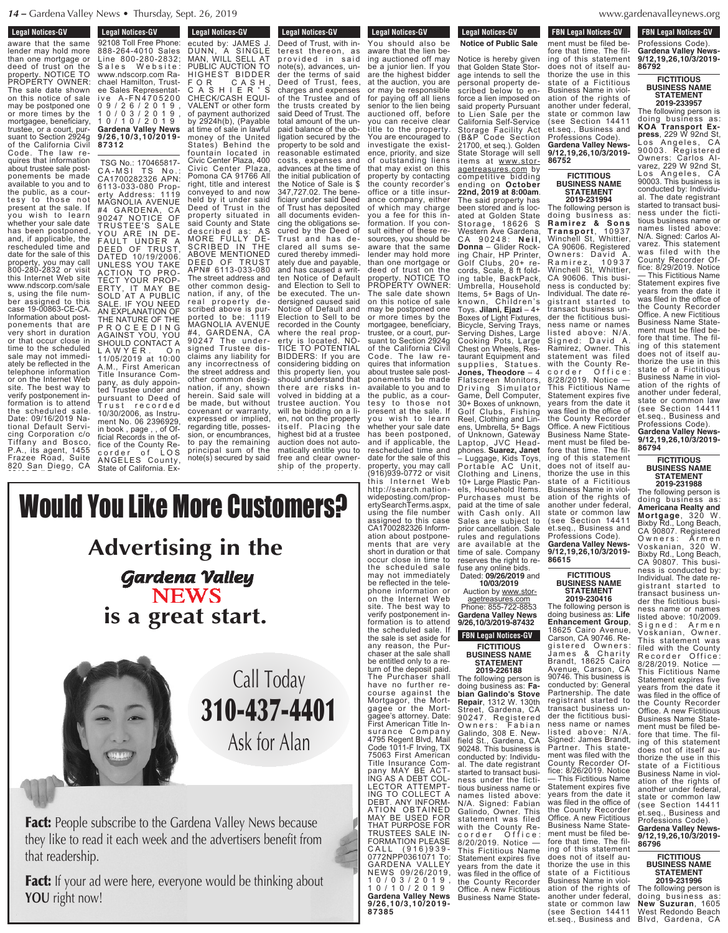**Legal Notices-GV Edgar Nutrices-GV** 

aware that the same lender may hold more than one mortgage or deed of trust on the property. NOTICE TO PROPERTY OWNER: The sale date shown on this notice of sale may be postponed one or more times by the mortgagee, beneficiary, trustee, or a court, pursuant to Section 2924g of the California Civil Code. The law requires that information about trustee sale postponements be made available to you and to the public, as a courtesy to those not present at the sale. If you wish to learn whether your sale date has been postponed, and, if applicable, the rescheduled time and date for the sale of this property, you may call 800-280-2832 or visit this Internet Web site www.ndscorp.com/sale s, using the file number assigned to this case 19-00863-CE-CA. Information about postponements that are very short in duration or that occur close in time to the scheduled sale may not immediately be reflected in the telephone information or on the Internet Web site. The best way to verify postponement information is to attend the scheduled sale. Date: 09/16/2019 National Default Servicing Corporation c/o Tiffany and Bosco, P.A., its agent, 1455 Frazee Road, Suite 820 San Diego, CA 92108 Toll Free Phone:

888-264-4010 Sales

**Legal Notices-GV Eegal Nutices-GV** 92108 Toll Free Phone: 888-264-4010 Sales Line 800-280-2832; Sales Website: www.ndscorp.com Rachael Hamilton, Trustee Sales Representative A-FN4705200 0 9 / 2 6 / 2 0 1 9 , 1 0 / 0 3 / 2 0 1 9 , 1 0 / 1 0 / 2 0 1 9 **Gardena Valley News 9/26,10/3,10/2019- 87312**

TSG No.: 170465817- CA-MSI TS No.: CA1700282326 APN: 6113-033-080 Property Address: 1119 MAGNOLIA AVENUE #4 GARDENA, CA 90247 NOTICE OF TRUSTEE'S SALE YOU ARE IN DE-FAULT UNDER A DEED OF TRUST, DATED 10/19/2006. UNLESS YOU TAKE ACTION TO PRO-TECT YOUR PROP-ERTY, IT MAY BE SOLD AT A PUBLIC SALE. IF YOU NEED AN EXPLANATION OF THE NATURE OF THE P R O C E E D I N G AGAINST YOU, YOU SHOULD CONTACT A L A W Y E R . O n 11/05/2019 at 10:00 A.M., First American Title Insurance Company, as duly appointed Trustee under and pursuant to Deed of<br>Trust recorded Trust recorded 10/30/2006, as Instrument No. 06 2396929, in book , page , , of Official Records in the office of the County Recorder of LOS ANGELES County, State of California. Ex-

**Legal Notices-GV** Eugal Nutrices-GV ecuted by: JAMES J. DUNN, A SINGLE MAN, WILL SELL AT PUBLIC AUCTION TO HIGHEST BIDDER F O R C A S H , C A S H I E R ' S CHECK/CASH EQUI-VALENT or other form of payment authorized by 2924h(b), (Payable at time of sale in lawful money of the United States) Behind the fountain located in

Civic Center Plaza, 400 Civic Center Plaza, Pomona CA 91766 All right, title and interest conveyed to and now held by it under said Deed of Trust in the property situated in said County and State described as: AS MORE FULLY DE-SCRIBED IN THE ABOVE MENTIONED DEED OF TRUST APN# 6113-033-080 The street address and other common designation, if any, of the real property described above is purported to be: 1119 MAGNOLIA AVENUE #4, GARDENA, CA 90247 The undersigned Trustee disclaims any liability for any incorrectness of the street address and other common designation, if any, shown herein. Said sale will be made, but without covenant or warranty, expressed or implied, regarding title, possession, or encumbrances, to pay the remaining principal sum of the note(s) secured by said

p r o v i d e d i d e d i d e d i d e d i d e d i d e d i d e d i d e d i d e d i d e d i d e d i d e d i d e

**Legal Notices-GV** Legal Nutles-GV Deed of Trust, with interest thereon, as provided in said note(s), advances, under the terms of said Deed of Trust, fees, charges and expenses of the Trustee and of the trusts created by said Deed of Trust. The total amount of the unpaid balance of the obligation secured by the property to be sold and reasonable estimated costs, expenses and advances at the time of the initial publication of the Notice of Sale is \$ 347,727.02. The beneficiary under said Deed of Trust has deposited all documents evidencing the obligations secured by the Deed of Trust and has declared all sums secured thereby immediately due and payable, and has caused a written Notice of Default and Election to Sell to be executed. The undersigned caused said Notice of Default and Election to Sell to be recorded in the County where the real property is located. NO-TICE TO POTENTIAL BIDDERS: If you are considering bidding on this property lien, you should understand that there are risks involved in bidding at a trustee auction. You will be bidding on a lien, not on the property itself. Placing the highest bid at a trustee auction does not automatically entitle you to free and clear ownership of the property.

You should also be aware that the lien be-

ponements be made

t h i s I n t e r n e t We b http://search.nation-

Would You Like More Customers? Advertising in the is a great start. ing auctioned off may be a junior lien. If you are the highest bidder annois i  $\mathcal{O}$  may be responsible for paying off all liens senior to the lien being auctioned off, before you can receive clear title to the property. You are encouraged to investigate the existence, priority, and size of outstanding liens that may exist on this property by contacting the county recorder's office or a title insurance company, either of which may charge you a fee for this inlewe Oried Deed of Trust, fees, charges and expert  $\sim$   $\sim$   $\sim$   $\sim$   $\sim$   $\sim$ no in th ng ni ui  $\bullet$  security set  $\bullet$ property to be sold and the sold r Vallen *r* rung  $\boldsymbol{W}$ the initial public  $\mathbf{N}\mathbf{E}\mathbf{W}\mathbf{S}$ at start at start. DUNN, A SINGLE MAN, WILL SELL AT AU LIKA K HIGHEST BIDDER BEST <u>UU MINU I</u> VALENT or other form of payment authorized by 2025 money of the United States) Behind the fountain located in Civic Center Plaza,  $\mathbf{P}_{\mathbf{a}}$   $\mathbf{P}_{\mathbf{a}}$   $\mathbf{P}_{\mathbf{a}}$ ris a pre  $\overline{c}$  conveyed to  $\overline{c}$ Line 800-2832; Particularly i nafa ... iai n ww.ndscorp.com Ra chael Hamilton, Trusteer Sales Representative i v e A- F N 4 7 0 5 2 0 0 0 9 / 2 7 / 2 7 / 2 7 / 2 7 / 2 7 / 2 7 / 2 7 / 2 7 / 2 7 / 2 9 / 2 9 / 2 9 / 2 9 / 2 9 / 2 9 / 2 9 / 2 9 / 2 1 0 3 / 0 3 / 0 3 / 0 3 / 0 3 / 0 3 / 0 3 / 0 3 / 0 3 / 0 3 / 0 3 / 0 3 / 0 3 / 0 3 / 0 3 / 0 3 / 0 3 / 0 3 / 0 1 0 / 1 0 / 2 0 1 9 **Gardena Valley News 9/26,10/3,10/2019- 87312**



**Fact:** People subscribe to the Gardena Valley News because they like to read it each week and the advertisers benefit from that readership. dena Valley News because  $p$  ieitu at the sale. If  $p$ you wi sh to learn whether your sale date has been postponed, uena vaney ivew will be a cluster on a la the advertisers b other common desig- $\iota$  ihscribe to the  $\iota$ . abscribe to the Or d it each week ar  $\alpha$  it call ween an regarding title, posses-

Fact: If your ad were here, everyone would be thinking about **YOU** right now!  $\overline{r}$  and  $\overline{r}$  and  $\overline{r}$  and  $\overline{r}$  and  $\overline{r}$  and  $\overline{r}$  and  $\overline{r}$  and  $\overline{r}$  and  $\overline{r}$  and  $\overline{r}$  and  $\overline{r}$  and  $\overline{r}$  and  $\overline{r}$  and  $\overline{r}$  and  $\overline{r}$  and  $\overline{r}$  and  $\overline{r}$  and  $\frac{1}{2}$  do sate property, you may call (916)939-0772 or visit matically entitle you to one would be thir  $\frac{1}{2}$  of the property. to pay the remaining the remaining of the remaining of the remaining of the remaining terms. a were nere, ever note (s) secured by said  $\mathbf{D}$ 

note(s), advances, un-

be a junior lien. If you

**Legal Notices-GV Example 3** Legal Notices-GV Legal Nutries-GV

You should also be

**Notice of Public Sale**

Notice is hereby given that Golden State Storage intends to sell the personal property described below to enforce a lien imposed on said property Pursuant to Lien Sale per the California Self-Service Storage Facility Act (B&P Code Section 21700, et seq.). Golden State Storage will sell items at www.storagetreasures.com by competitive bidding ending on **October 22nd, 2019 at 8:00am**. The said property has been stored and is located at Golden State Storage, 18626 S Western Ave Gardena, C A 9 0 2 4 8 : **N e i l , Donna** – Glider Rocking Chair, HP Printer, Golf Clubs, 20+ records, Scale, 8 ft folding table, BackPack, Umbrella, Household Items, 5+ Bags of Unknown, Children's Toys. **Jilani, Ejazi** – 4+ Boxes of Light Fixtures, Bicycle, Serving Trays, Serving Dishes, Large Cooking Pots, Large Chest on Wheels, Restaurant Equipment and supplies, Statues.<br>**Jones, Theodore** – 4 Flatscreen Monitors, Driving Simulator Game, Dell Computer, 30+ Boxes of unknown, Golf Clubs, Fishing Reel, Clothing and Linens, Umbrella, 5+ Bags of Unknown, Gateway Laptop, JVC Head-phones. **Suarez, Janet** – Luggage, Kids Toys, Portable AC Unit, Clothing and Linens, 10+ Large Plastic Panels, Household Items. Purchases must be paid at the time of sale with Cash only. All Sales are subject to prior cancellation. Sale rules and regulations are available at the time of sale. Company reserves the right to refuse any online bids. Dated: **09/26/2019** and **10/03/2019** Auction by www.storagetreasures.com Phone: 855-722-8853 **Gardena Valley News 9/26,10/3/2019-87432 FBN Legal Notices-GV FICTITIOUS BUSINESS NAME STATEMENT 2019-226188** The following person is doing business as: **Fa-bian Galindo's Stove Repair**, 1312 W. 130th Street, Gardena, CA aware that the lien being auctioned off may be a junior lien. If you are the highest bidder at the auction, you are or may be responsible for paying off all liens senior to the lien being auctioned off, before you can receive clear title to the property. You are encouraged to investigate the existence, priority, and size of outstanding liens that may exist on this property by contacting the county recorder's office or a title insurance company, either of which may charge you a fee for this information. If you consult either of these resources, you should be aware that the same lender may hold more than one mortgage or deed of trust on the property. NOTICE TO PROPERTY OWNER: The sale date shown on this notice of sale may be postponed one or more times by the mortgagee, beneficiary, trustee, or a court, pursuant to Section 2924g of the California Civil Code. The law requires that information about trustee sale postponements be made available to you and to the public, as a courtesy to those not present at the sale. If you wish to learn whether your sale date has been postponed, and if applicable, the rescheduled time and date for the sale of this property, you may call (916)939-0772 or visit this Internet Web http://search.nationwideposting.com/propertySearchTerms.aspx, using the file number assigned to this case CA1700282326 Information about postponements that are very short in duration or that occur close in time to the scheduled sale

denavalleynews.org www.gardenavalleynews.org  $\ldots \ldots$ 

**FBN Legal Notices-GV EXAMPLE SPACE SPACE AND THE SPACE SPACE SPACE SPACE SPACE SPACE SPACE SPACE SPACE SPACE SPACE SPACE SPACE SPACE SPACE SPACE SPACE SPACE SPACE SPACE SPACE SPACE SPACE SPACE SPACE SPACE SPACE SPACE SPACE SPACE SPACE SPACE S** Professions Code). **Gardena Valley News-FBN Legal Notices-GV FUSICAL STATES** ment must be filed before that time. The fil-

**9/12,19,26,10/3/2019- 86792 FICTITIOUS BUSINESS NAME STATEMENT 2019-233957** The following person is ing of this statement does not of itself authorize the use in this state of a Fictitious Business Name in violation of the rights of another under federal, state or common law

(see Section 14411 et.seq., Business and Professions Code). **Gardena Valley News-9/12,19,26,10/3/2019-**

**FICTITIOUS BUSINESS NAME STATEMENT 2019-231994** The following person is doing business as: **R a m ir e z & So n s Tr ansport**, 1 0 9 3 7 Winchell St, Whittier, CA 90606. Registered Owners: David A. R a m i r e z , 1 0 9 3 7 Winchell St, Whittier, CA 90606. This business is conducted by: Individual. The date registrant started to transact business under the fictitious business name or names listed above: N/A. Signed: David A. Ramirez, Owner. This statement was filed with the County Recorder Office: example of the corder Office<br>8/28/2019. Notice -This Fictitious Name Statement expires five years from the date it was filed in the office of the County Recorder Office. A new Fictitious Business Name Statement must be filed before that time. The filing of this statement does not of itself authorize the use in this state of a Fictitious Business Name in violation of the rights of another under federal, state or common law (see Section 14411 et.seq., Business and Professions Code). **Gardena Valley News-9/12,19,26,10/3/2019-**

**86752**

**86615**

**FICTITIOUS BUSINESS NAME STATEMENT 2019-230416** The following person is doing business as: **Life Enhancement Group**, 18625 Cairo Avenue, Carson, CA 90746. Registered Owners: James & Charity Brandt, 18625 Cairo Avenue, Carson, CA 90746. This business is conducted by: General Partnership. The date registrant started to transact business under the fictitious business name or names listed above: N/A. Signed: James Brandt, Partner. This statement was filed with the County Recorder Office: 8/26/2019. Notice — This Fictitious Name Statement expires five years from the date it was filed in the office of the County Recorder Office. A new Fictitious Business Name Statement must be filed before that time. The filing of this statement does not of itself authorize the use in this state of a Fictitious Business Name in violation of the rights of another under federal, state or common law (see Section 14411 et.seq., Business and

doing business as: **KOA Transport Express**, 229 W 92nd St, Los Angeles, CA 90003. Registered Owners: Carlos Alvarez, 229 W 92nd St, Los Angeles, CA 90003. This business is conducted by: Individual. The date registrant started to transact business under the fictitious business name or names listed above: N/A. Signed: Carlos Alvarez. This statement was filed with the County Recorder Office: 8/29/2019. Notice — This Fictitious Name Statement expires five years from the date it was filed in the office of the County Recorder Office. A new Fictitious Business Name Statement must be filed before that time. The filing of this statement does not of itself authorize the use in this state of a Fictitious Business Name in violation of the rights of another under federal, state or common law (see Section 14411 et.seq., Business and Professions Code). **Gardena Valley News-**

**9/12,19,26,10/3/2019- 86794**

> **FICTITIOUS BUSINESS NAME STATEMENT**

**2019-231988** The following person is doing business as: **Americana Realty and Mortgage**, 320 W. Bixby Rd., Long Beach, CA 90807. Registered Owners: Armen Voskanian, 320 W. Bixby Rd., Long Beach, CA 90807. This business is conducted by: Individual. The date registrant started to transact business under the fictitious business name or names listed above: 10/2009. Signed: Armen Voskanian, Owner. This statement was filed with the County Recorder Office: 8/28/2019. Notice — This Fictitious Name Statement expires five years from the date it was filed in the office of the County Recorder Office. A néw Fictitious Business Name Statement must be filed before that time. The filing of this statement does not of itself authorize the use in this state of a Fictitious Business Name in violation of the rights of another under federal, state or common law (see Section 14411)<br>et.seg.. Business and et.seq., Business and Professions Code). **Gardena Valley News-9/12,19,26,10/3/2019- 86796**

# **FICTITIOUS BUSINESS NAME STATEMENT 2019-231996**

The following person is doing business as: **New Suzuran**, 1605 West Redondo Beach Blvd, Gardena, CA

may not immediately be reflected in the telephone information or on the Internet Web site. The best way to verify postponement information is to attend the scheduled sale. If the sale is set aside for any reason, the Purchaser at the sale shall be entitled only to a return of the deposit paid. The Purchaser shall have no further recourse against the Mortgagor, the Mortgagee or the Mort-

90247. Registered Owners: Fabian Galindo, 308 E. Newfield St., Gardena, CA 90248. This business is conducted by: Individual. The date registrant started to transact business under the fictitious business name or names listed above: N/A. Signed: Fabian<br>Galindo, Owner. This statement was filed with the County Recorder Office: 8/20/2019. Notice — This Fictitious Name Statement expires five years from the date it was filed in the office of the County Recorder Office. A new Fictitious Business Name Stategagee's attorney. Date: First American Title Insurance Company 4795 Regent Blvd, Mail Code 1011-F Irving, TX 75063 First American Title Insurance Company MAY BE ACT-ING AS A DEBT COL-LECTOR ATTEMPT-ING TO COLLECT A DEBT. ANY INFORM-ATION OBTAINED MAY BE USED FOR THAT PURPOSE FOR TRUSTEES SALE IN-FORMATION PLEASE C A L L ( 9 1 6 ) 9 3 9 -0772NPP0361071 To: GARDENA VALLEY NEWS 09/26/2019, 1 0 / 0 3 / 2 0 1 9 , 1 0 / 1 0 / 2 0 1 9 **Gardena Valley News 9/26,10/3,10/2019-**

**87385**